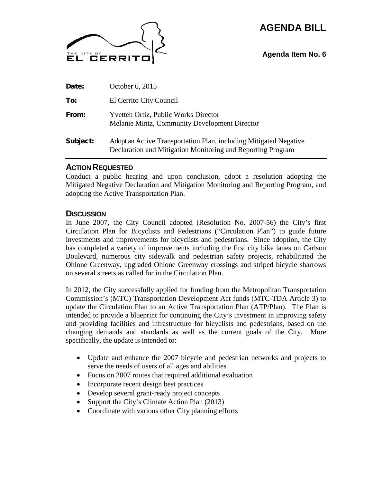## **AGENDA BILL**



**Agenda Item No. 6**

| Date:    | October 6, 2015                                                                                                                  |
|----------|----------------------------------------------------------------------------------------------------------------------------------|
| To:      | El Cerrito City Council                                                                                                          |
| From:    | <b>Yvetteh Ortiz, Public Works Director</b><br>Melanie Mintz, Community Development Director                                     |
| Subject: | Adopt an Active Transportation Plan, including Mitigated Negative<br>Declaration and Mitigation Monitoring and Reporting Program |

### **ACTION REQUESTED**

Conduct a public hearing and upon conclusion, adopt a resolution adopting the Mitigated Negative Declaration and Mitigation Monitoring and Reporting Program, and adopting the Active Transportation Plan.

### **DISCUSSION**

In June 2007, the City Council adopted (Resolution No. 2007-56) the City's first Circulation Plan for Bicyclists and Pedestrians ("Circulation Plan") to guide future investments and improvements for bicyclists and pedestrians. Since adoption, the City has completed a variety of improvements including the first city bike lanes on Carlson Boulevard, numerous city sidewalk and pedestrian safety projects, rehabilitated the Ohlone Greenway, upgraded Ohlone Greenway crossings and striped bicycle sharrows on several streets as called for in the Circulation Plan.

In 2012, the City successfully applied for funding from the Metropolitan Transportation Commission's (MTC) Transportation Development Act funds (MTC-TDA Article 3) to update the Circulation Plan to an Active Transportation Plan (ATP/Plan). The Plan is intended to provide a blueprint for continuing the City's investment in improving safety and providing facilities and infrastructure for bicyclists and pedestrians, based on the changing demands and standards as well as the current goals of the City. More specifically, the update is intended to:

- Update and enhance the 2007 bicycle and pedestrian networks and projects to serve the needs of users of all ages and abilities
- Focus on 2007 routes that required additional evaluation
- Incorporate recent design best practices
- Develop several grant-ready project concepts
- Support the City's Climate Action Plan (2013)
- Coordinate with various other City planning efforts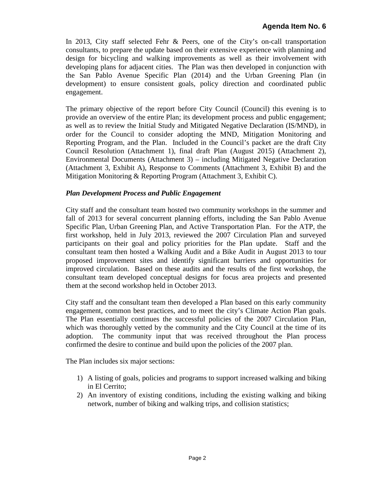In 2013, City staff selected Fehr & Peers, one of the City's on-call transportation consultants, to prepare the update based on their extensive experience with planning and design for bicycling and walking improvements as well as their involvement with developing plans for adjacent cities. The Plan was then developed in conjunction with the San Pablo Avenue Specific Plan (2014) and the Urban Greening Plan (in development) to ensure consistent goals, policy direction and coordinated public engagement.

The primary objective of the report before City Council (Council) this evening is to provide an overview of the entire Plan; its development process and public engagement; as well as to review the Initial Study and Mitigated Negative Declaration (IS/MND), in order for the Council to consider adopting the MND, Mitigation Monitoring and Reporting Program, and the Plan. Included in the Council's packet are the draft City Council Resolution (Attachment 1), final draft Plan (August 2015) (Attachment 2), Environmental Documents (Attachment 3) – including Mitigated Negative Declaration (Attachment 3, Exhibit A), Response to Comments (Attachment 3, Exhibit B) and the Mitigation Monitoring & Reporting Program (Attachment 3, Exhibit C).

## *Plan Development Process and Public Engagement*

City staff and the consultant team hosted two community workshops in the summer and fall of 2013 for several concurrent planning efforts, including the San Pablo Avenue Specific Plan, Urban Greening Plan, and Active Transportation Plan. For the ATP, the first workshop, held in July 2013, reviewed the 2007 Circulation Plan and surveyed participants on their goal and policy priorities for the Plan update. Staff and the consultant team then hosted a Walking Audit and a Bike Audit in August 2013 to tour proposed improvement sites and identify significant barriers and opportunities for improved circulation. Based on these audits and the results of the first workshop, the consultant team developed conceptual designs for focus area projects and presented them at the second workshop held in October 2013.

City staff and the consultant team then developed a Plan based on this early community engagement, common best practices, and to meet the city's Climate Action Plan goals. The Plan essentially continues the successful policies of the 2007 Circulation Plan, which was thoroughly vetted by the community and the City Council at the time of its adoption. The community input that was received throughout the Plan process confirmed the desire to continue and build upon the policies of the 2007 plan.

The Plan includes six major sections:

- 1) A listing of goals, policies and programs to support increased walking and biking in El Cerrito;
- 2) An inventory of existing conditions, including the existing walking and biking network, number of biking and walking trips, and collision statistics;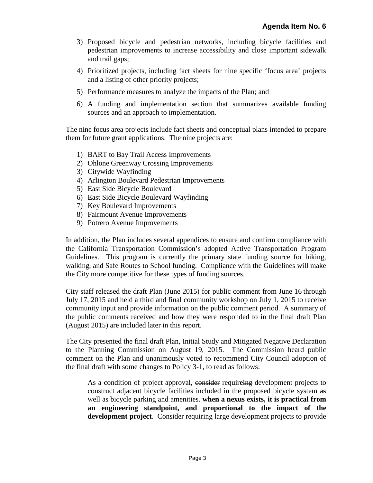- 3) Proposed bicycle and pedestrian networks, including bicycle facilities and pedestrian improvements to increase accessibility and close important sidewalk and trail gaps;
- 4) Prioritized projects, including fact sheets for nine specific 'focus area' projects and a listing of other priority projects;
- 5) Performance measures to analyze the impacts of the Plan; and
- 6) A funding and implementation section that summarizes available funding sources and an approach to implementation.

The nine focus area projects include fact sheets and conceptual plans intended to prepare them for future grant applications. The nine projects are:

- 1) BART to Bay Trail Access Improvements
- 2) Ohlone Greenway Crossing Improvements
- 3) Citywide Wayfinding
- 4) Arlington Boulevard Pedestrian Improvements
- 5) East Side Bicycle Boulevard
- 6) East Side Bicycle Boulevard Wayfinding
- 7) Key Boulevard Improvements
- 8) Fairmount Avenue Improvements
- 9) Potrero Avenue Improvements

In addition, the Plan includes several appendices to ensure and confirm compliance with the California Transportation Commission's adopted Active Transportation Program Guidelines. This program is currently the primary state funding source for biking, walking, and Safe Routes to School funding. Compliance with the Guidelines will make the City more competitive for these types of funding sources.

City staff released the draft Plan (June 2015) for public comment from June 16 through July 17, 2015 and held a third and final community workshop on July 1, 2015 to receive community input and provide information on the public comment period. A summary of the public comments received and how they were responded to in the final draft Plan (August 2015) are included later in this report.

The City presented the final draft Plan, Initial Study and Mitigated Negative Declaration to the Planning Commission on August 19, 2015. The Commission heard public comment on the Plan and unanimously voted to recommend City Council adoption of the final draft with some changes to Policy 3-1, to read as follows:

As a condition of project approval, consider requir**e**ing development projects to construct adjacent bicycle facilities included in the proposed bicycle system as well as bicycle parking and amenities. **when a nexus exists, it is practical from an engineering standpoint, and proportional to the impact of the development project**. Consider requiring large development projects to provide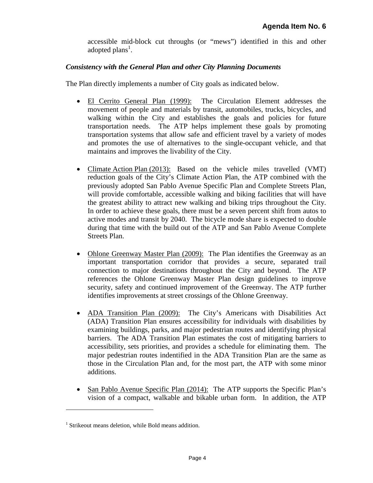accessible mid-block cut throughs (or "mews") identified in this and other adopted plans<sup>1</sup>.

## *Consistency with the General Plan and other City Planning Documents*

The Plan directly implements a number of City goals as indicated below.

- El Cerrito General Plan (1999): The Circulation Element addresses the movement of people and materials by transit, automobiles, trucks, bicycles, and walking within the City and establishes the goals and policies for future transportation needs. The ATP helps implement these goals by promoting transportation systems that allow safe and efficient travel by a variety of modes and promotes the use of alternatives to the single-occupant vehicle, and that maintains and improves the livability of the City.
- Climate Action Plan (2013): Based on the vehicle miles travelled (VMT) reduction goals of the City's Climate Action Plan, the ATP combined with the previously adopted San Pablo Avenue Specific Plan and Complete Streets Plan, will provide comfortable, accessible walking and biking facilities that will have the greatest ability to attract new walking and biking trips throughout the City. In order to achieve these goals, there must be a seven percent shift from autos to active modes and transit by 2040. The bicycle mode share is expected to double during that time with the build out of the ATP and San Pablo Avenue Complete Streets Plan.
- Ohlone Greenway Master Plan (2009): The Plan identifies the Greenway as an important transportation corridor that provides a secure, separated trail connection to major destinations throughout the City and beyond. The ATP references the Ohlone Greenway Master Plan design guidelines to improve security, safety and continued improvement of the Greenway. The ATP further identifies improvements at street crossings of the Ohlone Greenway.
- ADA Transition Plan (2009): The City's Americans with Disabilities Act (ADA) Transition Plan ensures accessibility for individuals with disabilities by examining buildings, parks, and major pedestrian routes and identifying physical barriers. The ADA Transition Plan estimates the cost of mitigating barriers to accessibility, sets priorities, and provides a schedule for eliminating them. The major pedestrian routes indentified in the ADA Transition Plan are the same as those in the Circulation Plan and, for the most part, the ATP with some minor additions.
- San Pablo Avenue Specific Plan (2014): The ATP supports the Specific Plan's vision of a compact, walkable and bikable urban form. In addition, the ATP

 $\overline{a}$ 

<sup>&</sup>lt;sup>1</sup> Strikeout means deletion, while Bold means addition.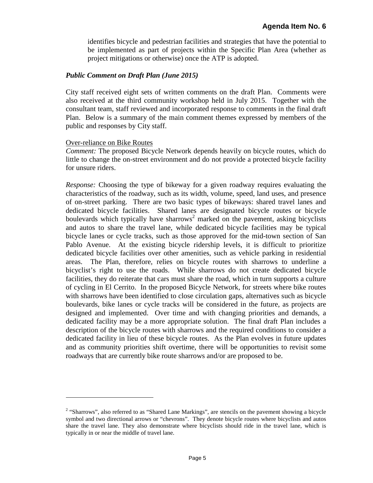identifies bicycle and pedestrian facilities and strategies that have the potential to be implemented as part of projects within the Specific Plan Area (whether as project mitigations or otherwise) once the ATP is adopted.

## *Public Comment on Draft Plan (June 2015)*

City staff received eight sets of written comments on the draft Plan. Comments were also received at the third community workshop held in July 2015. Together with the consultant team, staff reviewed and incorporated response to comments in the final draft Plan. Below is a summary of the main comment themes expressed by members of the public and responses by City staff.

#### Over-reliance on Bike Routes

 $\overline{a}$ 

*Comment:* The proposed Bicycle Network depends heavily on bicycle routes, which do little to change the on-street environment and do not provide a protected bicycle facility for unsure riders.

*Response:* Choosing the type of bikeway for a given roadway requires evaluating the characteristics of the roadway, such as its width, volume, speed, land uses, and presence of on-street parking. There are two basic types of bikeways: shared travel lanes and dedicated bicycle facilities. Shared lanes are designated bicycle routes or bicycle boulevards which typically have sharrows<sup>2</sup> marked on the pavement, asking bicyclists and autos to share the travel lane, while dedicated bicycle facilities may be typical bicycle lanes or cycle tracks, such as those approved for the mid-town section of San Pablo Avenue. At the existing bicycle ridership levels, it is difficult to prioritize dedicated bicycle facilities over other amenities, such as vehicle parking in residential areas. The Plan, therefore, relies on bicycle routes with sharrows to underline a bicyclist's right to use the roads. While sharrows do not create dedicated bicycle facilities, they do reiterate that cars must share the road, which in turn supports a culture of cycling in El Cerrito. In the proposed Bicycle Network, for streets where bike routes with sharrows have been identified to close circulation gaps, alternatives such as bicycle boulevards, bike lanes or cycle tracks will be considered in the future, as projects are designed and implemented. Over time and with changing priorities and demands, a dedicated facility may be a more appropriate solution. The final draft Plan includes a description of the bicycle routes with sharrows and the required conditions to consider a dedicated facility in lieu of these bicycle routes. As the Plan evolves in future updates and as community priorities shift overtime, there will be opportunities to revisit some roadways that are currently bike route sharrows and/or are proposed to be.

<sup>&</sup>lt;sup>2</sup> "Sharrows", also referred to as "Shared Lane Markings", are stencils on the pavement showing a bicycle symbol and two directional arrows or "chevrons". They denote bicycle routes where bicyclists and autos share the travel lane. They also demonstrate where bicyclists should ride in the travel lane, which is typically in or near the middle of travel lane.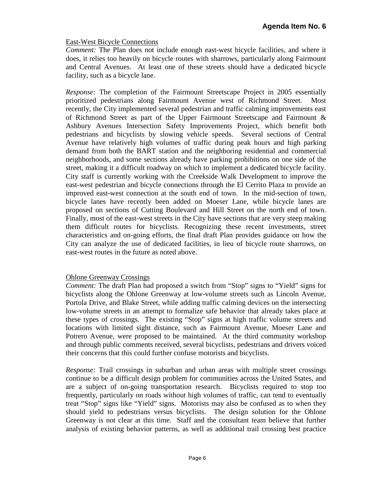## East-West Bicycle Connections

*Comment:* The Plan does not include enough east-west bicycle facilities, and where it does, it relies too heavily on bicycle routes with sharrows, particularly along Fairmount and Central Avenues. At least one of these streets should have a dedicated bicycle facility, such as a bicycle lane.

*Response:* The completion of the Fairmount Streetscape Project in 2005 essentially prioritized pedestrians along Fairmount Avenue west of Richmond Street. Most recently, the City implemented several pedestrian and traffic calming improvements east of Richmond Street as part of the Upper Fairmount Streetscape and Fairmount & Ashbury Avenues Intersection Safety Improvements Project, which benefit both pedestrians and bicyclists by slowing vehicle speeds. Several sections of Central Avenue have relatively high volumes of traffic during peak hours and high parking demand from both the BART station and the neighboring residential and commercial neighborhoods, and some sections already have parking prohibitions on one side of the street, making it a difficult roadway on which to implement a dedicated bicycle facility. City staff is currently working with the Creekside Walk Development to improve the east-west pedestrian and bicycle connections through the El Cerrito Plaza to provide an improved east-west connection at the south end of town. In the mid-section of town, bicycle lanes have recently been added on Moeser Lane, while bicycle lanes are proposed on sections of Cutting Boulevard and Hill Street on the north end of town. Finally, most of the east-west streets in the City have sections that are very steep making them difficult routes for bicyclists. Recognizing these recent investments, street characteristics and on-going efforts, the final draft Plan provides guidance on how the City can analyze the use of dedicated facilities, in lieu of bicycle route sharrows, on east-west routes in the future as noted above.

## Ohlone Greenway Crossings

*Comment:* The draft Plan had proposed a switch from "Stop" signs to "Yield" signs for bicyclists along the Ohlone Greenway at low-volume streets such as Lincoln Avenue, Portola Drive, and Blake Street, while adding traffic calming devices on the intersecting low-volume streets in an attempt to formalize safe behavior that already takes place at these types of crossings. The existing "Stop" signs at high traffic volume streets and locations with limited sight distance, such as Fairmount Avenue, Moeser Lane and Potrero Avenue, were proposed to be maintained. At the third community workshop and through public comments received, several bicyclists, pedestrians and drivers voiced their concerns that this could further confuse motorists and bicyclists.

*Response:* Trail crossings in suburban and urban areas with multiple street crossings continue to be a difficult design problem for communities across the United States, and are a subject of on-going transportation research. Bicyclists required to stop too frequently, particularly on roads without high volumes of traffic, can tend to eventually treat "Stop" signs like "Yield" signs. Motorists may also be confused as to when they should yield to pedestrians versus bicyclists. The design solution for the Ohlone Greenway is not clear at this time. Staff and the consultant team believe that further analysis of existing behavior patterns, as well as additional trail crossing best practice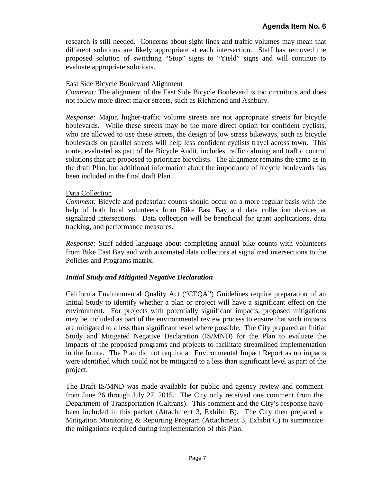research is still needed. Concerns about sight lines and traffic volumes may mean that different solutions are likely appropriate at each intersection. Staff has removed the proposed solution of switching "Stop" signs to "Yield" signs and will continue to evaluate appropriate solutions.

## East Side Bicycle Boulevard Alignment

*Comment:* The alignment of the East Side Bicycle Boulevard is too circuitous and does not follow more direct major streets, such as Richmond and Ashbury.

*Response:* Major, higher-traffic volume streets are not appropriate streets for bicycle boulevards. While these streets may be the more direct option for confident cyclists, who are allowed to use these streets, the design of low stress bikeways, such as bicycle boulevards on parallel streets will help less confident cyclists travel across town. This route, evaluated as part of the Bicycle Audit, includes traffic calming and traffic control solutions that are proposed to prioritize bicyclists. The alignment remains the same as in the draft Plan, but additional information about the importance of bicycle boulevards has been included in the final draft Plan.

### Data Collection

*Comment:* Bicycle and pedestrian counts should occur on a more regular basis with the help of both local volunteers from Bike East Bay and data collection devices at signalized intersections. Data collection will be beneficial for grant applications, data tracking, and performance measures.

*Response:* Staff added language about completing annual bike counts with volunteers from Bike East Bay and with automated data collectors at signalized intersections to the Policies and Programs matrix.

## *Initial Study and Mitigated Negative Declaration*

California Environmental Quality Act ("CEQA") Guidelines require preparation of an Initial Study to identify whether a plan or project will have a significant effect on the environment. For projects with potentially significant impacts, proposed mitigations may be included as part of the environmental review process to ensure that such impacts are mitigated to a less than significant level where possible. The City prepared an Initial Study and Mitigated Negative Declaration (IS/MND) for the Plan to evaluate the impacts of the proposed programs and projects to facilitate streamlined implementation in the future. The Plan did not require an Environmental Impact Report as no impacts were identified which could not be mitigated to a less than significant level as part of the project.

The Draft IS/MND was made available for public and agency review and comment from June 26 through July 27, 2015. The City only received one comment from the Department of Transportation (Caltrans). This comment and the City's response have been included in this packet (Attachment 3, Exhibit B). The City then prepared a Mitigation Monitoring & Reporting Program (Attachment 3, Exhibit C) to summarize the mitigations required during implementation of this Plan.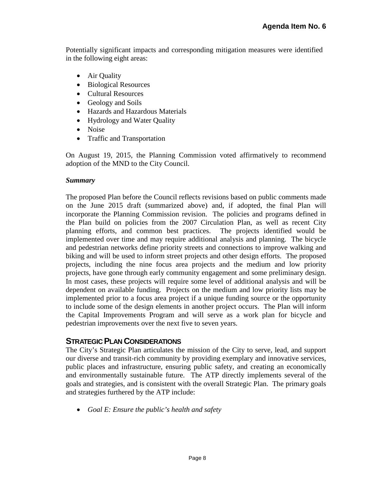Potentially significant impacts and corresponding mitigation measures were identified in the following eight areas:

- Air Quality
- Biological Resources
- Cultural Resources
- Geology and Soils
- Hazards and Hazardous Materials
- Hydrology and Water Quality
- Noise
- Traffic and Transportation

On August 19, 2015, the Planning Commission voted affirmatively to recommend adoption of the MND to the City Council.

### *Summary*

The proposed Plan before the Council reflects revisions based on public comments made on the June 2015 draft (summarized above) and, if adopted, the final Plan will incorporate the Planning Commission revision. The policies and programs defined in the Plan build on policies from the 2007 Circulation Plan, as well as recent City planning efforts, and common best practices. The projects identified would be implemented over time and may require additional analysis and planning. The bicycle and pedestrian networks define priority streets and connections to improve walking and biking and will be used to inform street projects and other design efforts. The proposed projects, including the nine focus area projects and the medium and low priority projects, have gone through early community engagement and some preliminary design. In most cases, these projects will require some level of additional analysis and will be dependent on available funding. Projects on the medium and low priority lists may be implemented prior to a focus area project if a unique funding source or the opportunity to include some of the design elements in another project occurs. The Plan will inform the Capital Improvements Program and will serve as a work plan for bicycle and pedestrian improvements over the next five to seven years.

## **STRATEGIC PLAN CONSIDERATIONS**

The City's Strategic Plan articulates the mission of the City to serve, lead, and support our diverse and transit-rich community by providing exemplary and innovative services, public places and infrastructure, ensuring public safety, and creating an economically and environmentally sustainable future. The ATP directly implements several of the goals and strategies, and is consistent with the overall Strategic Plan. The primary goals and strategies furthered by the ATP include:

• *Goal E: Ensure the public's health and safety*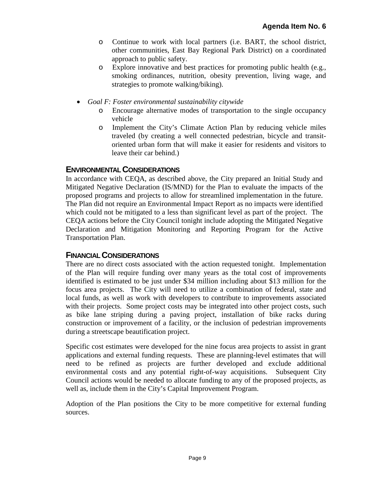- o Continue to work with local partners (i.e. BART, the school district, other communities, East Bay Regional Park District) on a coordinated approach to public safety.
- o Explore innovative and best practices for promoting public health (e.g., smoking ordinances, nutrition, obesity prevention, living wage, and strategies to promote walking/biking).
- *Goal F: Foster environmental sustainability citywide*
	- o Encourage alternative modes of transportation to the single occupancy vehicle
	- o Implement the City's Climate Action Plan by reducing vehicle miles traveled (by creating a well connected pedestrian, bicycle and transitoriented urban form that will make it easier for residents and visitors to leave their car behind.)

## **ENVIRONMENTAL CONSIDERATIONS**

In accordance with CEQA, as described above, the City prepared an Initial Study and Mitigated Negative Declaration (IS/MND) for the Plan to evaluate the impacts of the proposed programs and projects to allow for streamlined implementation in the future. The Plan did not require an Environmental Impact Report as no impacts were identified which could not be mitigated to a less than significant level as part of the project. The CEQA actions before the City Council tonight include adopting the Mitigated Negative Declaration and Mitigation Monitoring and Reporting Program for the Active Transportation Plan.

## **FINANCIAL CONSIDERATIONS**

There are no direct costs associated with the action requested tonight. Implementation of the Plan will require funding over many years as the total cost of improvements identified is estimated to be just under \$34 million including about \$13 million for the focus area projects. The City will need to utilize a combination of federal, state and local funds, as well as work with developers to contribute to improvements associated with their projects. Some project costs may be integrated into other project costs, such as bike lane striping during a paving project, installation of bike racks during construction or improvement of a facility, or the inclusion of pedestrian improvements during a streetscape beautification project.

Specific cost estimates were developed for the nine focus area projects to assist in grant applications and external funding requests. These are planning-level estimates that will need to be refined as projects are further developed and exclude additional environmental costs and any potential right-of-way acquisitions. Subsequent City Council actions would be needed to allocate funding to any of the proposed projects, as well as, include them in the City's Capital Improvement Program.

Adoption of the Plan positions the City to be more competitive for external funding sources.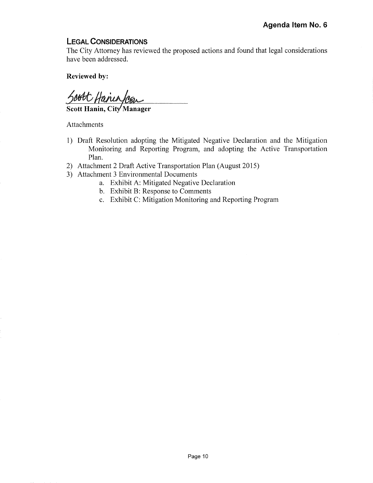## **LEGAL CONSIDERATIONS**

The City Attorney has reviewed the proposed actions and found that legal considerations have been addressed.

**Reviewed** by:

Jost Hanis Con

Attachments

- 1) Draft Resolution adopting the Mitigated Negative Declaration and the Mitigation Monitoring and Reporting Program, and adopting the Active Transportation Plan.
- 2) Attachment 2 Draft Active Transportation Plan (August 2015)
- 3) Attachment 3 Environmental Documents
	- a. Exhibit A: Mitigated Negative Declaration
	- b. Exhibit B: Response to Comments
	- c. Exhibit C: Mitigation Monitoring and Reporting Program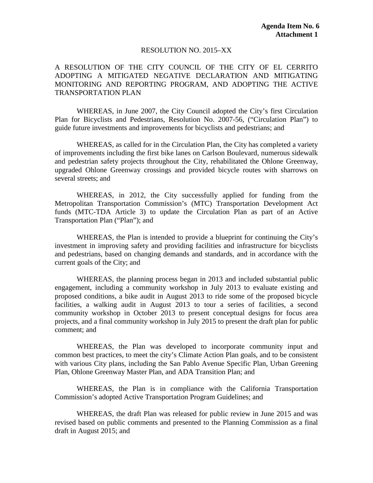#### RESOLUTION NO. 2015–XX

## A RESOLUTION OF THE CITY COUNCIL OF THE CITY OF EL CERRITO ADOPTING A MITIGATED NEGATIVE DECLARATION AND MITIGATING MONITORING AND REPORTING PROGRAM, AND ADOPTING THE ACTIVE TRANSPORTATION PLAN

WHEREAS, in June 2007, the City Council adopted the City's first Circulation Plan for Bicyclists and Pedestrians, Resolution No. 2007-56, ("Circulation Plan") to guide future investments and improvements for bicyclists and pedestrians; and

WHEREAS, as called for in the Circulation Plan, the City has completed a variety of improvements including the first bike lanes on Carlson Boulevard, numerous sidewalk and pedestrian safety projects throughout the City, rehabilitated the Ohlone Greenway, upgraded Ohlone Greenway crossings and provided bicycle routes with sharrows on several streets; and

WHEREAS, in 2012, the City successfully applied for funding from the Metropolitan Transportation Commission's (MTC) Transportation Development Act funds (MTC-TDA Article 3) to update the Circulation Plan as part of an Active Transportation Plan ("Plan"); and

WHEREAS, the Plan is intended to provide a blueprint for continuing the City's investment in improving safety and providing facilities and infrastructure for bicyclists and pedestrians, based on changing demands and standards, and in accordance with the current goals of the City; and

WHEREAS, the planning process began in 2013 and included substantial public engagement, including a community workshop in July 2013 to evaluate existing and proposed conditions, a bike audit in August 2013 to ride some of the proposed bicycle facilities, a walking audit in August 2013 to tour a series of facilities, a second community workshop in October 2013 to present conceptual designs for focus area projects, and a final community workshop in July 2015 to present the draft plan for public comment; and

WHEREAS, the Plan was developed to incorporate community input and common best practices, to meet the city's Climate Action Plan goals, and to be consistent with various City plans, including the San Pablo Avenue Specific Plan, Urban Greening Plan, Ohlone Greenway Master Plan, and ADA Transition Plan; and

WHEREAS, the Plan is in compliance with the California Transportation Commission's adopted Active Transportation Program Guidelines; and

WHEREAS, the draft Plan was released for public review in June 2015 and was revised based on public comments and presented to the Planning Commission as a final draft in August 2015; and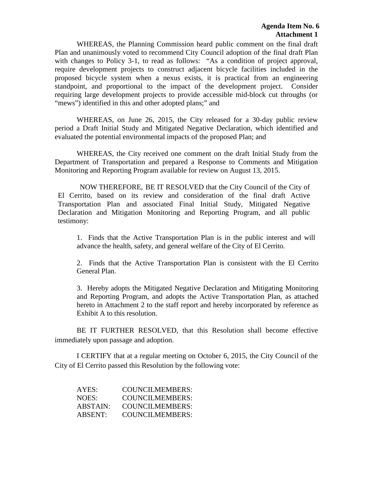## **Agenda Item No. 6 Attachment 1**

WHEREAS, the Planning Commission heard public comment on the final draft Plan and unanimously voted to recommend City Council adoption of the final draft Plan with changes to Policy 3-1, to read as follows: "As a condition of project approval, require development projects to construct adjacent bicycle facilities included in the proposed bicycle system when a nexus exists, it is practical from an engineering standpoint, and proportional to the impact of the development project. Consider requiring large development projects to provide accessible mid-block cut throughs (or "mews") identified in this and other adopted plans;" and

WHEREAS, on June 26, 2015, the City released for a 30-day public review period a Draft Initial Study and Mitigated Negative Declaration, which identified and evaluated the potential environmental impacts of the proposed Plan; and

WHEREAS, the City received one comment on the draft Initial Study from the Department of Transportation and prepared a Response to Comments and Mitigation Monitoring and Reporting Program available for review on August 13, 2015.

NOW THEREFORE, BE IT RESOLVED that the City Council of the City of El Cerrito, based on its review and consideration of the final draft Active Transportation Plan and associated Final Initial Study, Mitigated Negative Declaration and Mitigation Monitoring and Reporting Program, and all public testimony:

1. Finds that the Active Transportation Plan is in the public interest and will advance the health, safety, and general welfare of the City of El Cerrito.

2. Finds that the Active Transportation Plan is consistent with the El Cerrito General Plan.

3. Hereby adopts the Mitigated Negative Declaration and Mitigating Monitoring and Reporting Program, and adopts the Active Transportation Plan, as attached hereto in Attachment 2 to the staff report and hereby incorporated by reference as Exhibit A to this resolution.

BE IT FURTHER RESOLVED, that this Resolution shall become effective immediately upon passage and adoption.

I CERTIFY that at a regular meeting on October 6, 2015, the City Council of the City of El Cerrito passed this Resolution by the following vote:

| AYES:    | COUNCIL MEMBERS:       |
|----------|------------------------|
| NOES:    | COUNCIL MEMBERS:       |
| ABSTAIN: | <b>COUNCILMEMBERS:</b> |
| ABSENT:  | COUNCILMEMBERS:        |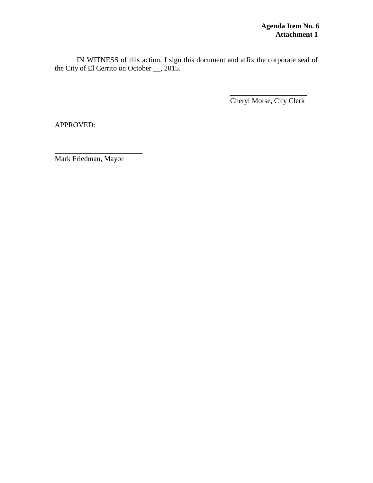IN WITNESS of this action, I sign this document and affix the corporate seal of the City of El Cerrito on October \_\_, 2015.

> \_\_\_\_\_\_\_\_\_\_\_\_\_\_\_\_\_\_\_\_\_ Cheryl Morse, City Clerk

APPROVED:

\_\_\_\_\_\_\_\_\_\_\_\_\_\_\_\_\_\_\_\_\_\_\_\_ Mark Friedman, Mayor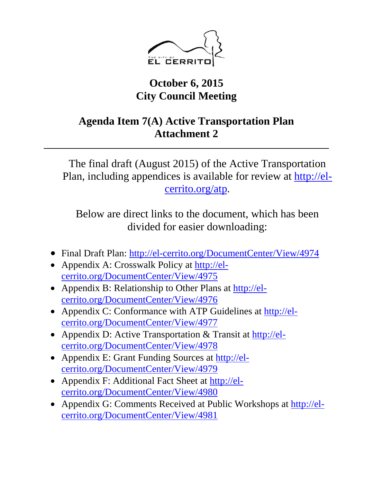

# **October 6, 2015 City Council Meeting**

## **Agenda Item 7(A) Active Transportation Plan Attachment 2**

The final draft (August 2015) of the Active Transportation Plan, including appendices is available for review at [http://el](http://el-cerrito.org/atp)[cerrito.org/atp.](http://el-cerrito.org/atp)

Below are direct links to the document, which has been divided for easier downloading:

- Final Draft Plan: <http://el-cerrito.org/DocumentCenter/View/4974>
- Appendix A: Crosswalk Policy at [http://el](http://el-cerrito.org/DocumentCenter/View/4975)[cerrito.org/DocumentCenter/View/4975](http://el-cerrito.org/DocumentCenter/View/4975)
- Appendix B: Relationship to Other Plans at [http://el](http://el-cerrito.org/DocumentCenter/View/4976)[cerrito.org/DocumentCenter/View/4976](http://el-cerrito.org/DocumentCenter/View/4976)
- Appendix C: Conformance with ATP Guidelines at [http://el](http://el-cerrito.org/DocumentCenter/View/4977)[cerrito.org/DocumentCenter/View/4977](http://el-cerrito.org/DocumentCenter/View/4977)
- Appendix D: Active Transportation & Transit at [http://el](http://el-cerrito.org/DocumentCenter/View/4978)[cerrito.org/DocumentCenter/View/4978](http://el-cerrito.org/DocumentCenter/View/4978)
- Appendix E: Grant Funding Sources at [http://el](http://el-cerrito.org/DocumentCenter/View/4979)[cerrito.org/DocumentCenter/View/4979](http://el-cerrito.org/DocumentCenter/View/4979)
- Appendix F: Additional Fact Sheet at [http://el](http://el-cerrito.org/DocumentCenter/View/4980)[cerrito.org/DocumentCenter/View/4980](http://el-cerrito.org/DocumentCenter/View/4980)
- Appendix G: Comments Received at Public Workshops at [http://el](http://ca-elcerrito.civicplus.com/DocumentCenter/View/4981)[cerrito.org/DocumentCenter/View/4981](http://ca-elcerrito.civicplus.com/DocumentCenter/View/4981)